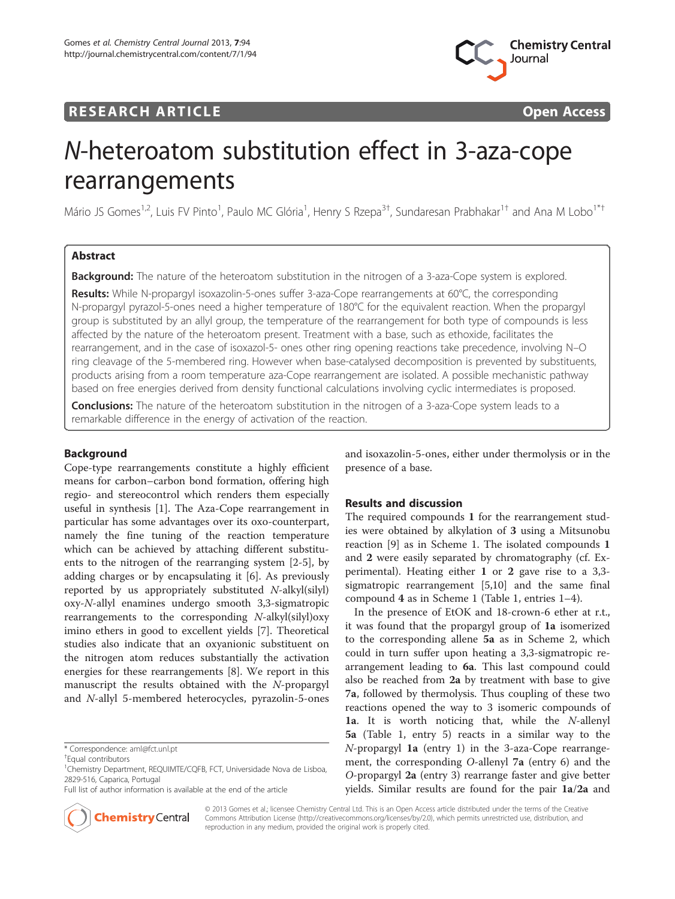



# N-heteroatom substitution effect in 3-aza-cope rearrangements

Mário JS Gomes<sup>1,2</sup>, Luis FV Pinto<sup>1</sup>, Paulo MC Glória<sup>1</sup>, Henry S Rzepa<sup>3†</sup>, Sundaresan Prabhakar<sup>1†</sup> and Ana M Lobo<sup>1\*†</sup>

# Abstract

**Background:** The nature of the heteroatom substitution in the nitrogen of a 3-aza-Cope system is explored.

Results: While N-propargyl isoxazolin-5-ones suffer 3-aza-Cope rearrangements at 60°C, the corresponding N-propargyl pyrazol-5-ones need a higher temperature of 180°C for the equivalent reaction. When the propargyl group is substituted by an allyl group, the temperature of the rearrangement for both type of compounds is less affected by the nature of the heteroatom present. Treatment with a base, such as ethoxide, facilitates the rearrangement, and in the case of isoxazol-5- ones other ring opening reactions take precedence, involving N–O ring cleavage of the 5-membered ring. However when base-catalysed decomposition is prevented by substituents, products arising from a room temperature aza-Cope rearrangement are isolated. A possible mechanistic pathway based on free energies derived from density functional calculations involving cyclic intermediates is proposed.

**Conclusions:** The nature of the heteroatom substitution in the nitrogen of a 3-aza-Cope system leads to a remarkable difference in the energy of activation of the reaction.

## Background

Cope-type rearrangements constitute a highly efficient means for carbon–carbon bond formation, offering high regio- and stereocontrol which renders them especially useful in synthesis [\[1](#page-11-0)]. The Aza-Cope rearrangement in particular has some advantages over its oxo-counterpart, namely the fine tuning of the reaction temperature which can be achieved by attaching different substituents to the nitrogen of the rearranging system [[2](#page-11-0)-[5\]](#page-11-0), by adding charges or by encapsulating it [\[6](#page-11-0)]. As previously reported by us appropriately substituted N-alkyl(silyl) oxy-N-allyl enamines undergo smooth 3,3-sigmatropic rearrangements to the corresponding N-alkyl(silyl)oxy imino ethers in good to excellent yields [\[7\]](#page-11-0). Theoretical studies also indicate that an oxyanionic substituent on the nitrogen atom reduces substantially the activation energies for these rearrangements [[8\]](#page-11-0). We report in this manuscript the results obtained with the N-propargyl and N-allyl 5-membered heterocycles, pyrazolin-5-ones

Full list of author information is available at the end of the article



and isoxazolin-5-ones, either under thermolysis or in the presence of a base.

## Results and discussion

The required compounds 1 for the rearrangement studies were obtained by alkylation of 3 using a Mitsunobu reaction [[9\]](#page-11-0) as in Scheme [1.](#page-1-0) The isolated compounds 1 and 2 were easily separated by chromatography (cf. Experimental). Heating either 1 or 2 gave rise to a 3,3 sigmatropic rearrangement [[5,10\]](#page-11-0) and the same final compound 4 as in Scheme [1](#page-1-0) (Table [1,](#page-1-0) entries 1–4).

In the presence of EtOK and 18-crown-6 ether at r.t., it was found that the propargyl group of 1a isomerized to the corresponding allene 5a as in Scheme [2](#page-2-0), which could in turn suffer upon heating a 3,3-sigmatropic rearrangement leading to 6a. This last compound could also be reached from 2a by treatment with base to give 7a, followed by thermolysis. Thus coupling of these two reactions opened the way to 3 isomeric compounds of 1a. It is worth noticing that, while the  $N$ -allenyl 5a (Table [1](#page-1-0), entry 5) reacts in a similar way to the N-propargyl 1a (entry 1) in the 3-aza-Cope rearrangement, the corresponding O-allenyl 7a (entry 6) and the O-propargyl 2a (entry 3) rearrange faster and give better yields. Similar results are found for the pair 1a/2a and

© 2013 Gomes et al.; licensee Chemistry Central Ltd. This is an Open Access article distributed under the terms of the Creative Commons Attribution License (<http://creativecommons.org/licenses/by/2.0>), which permits unrestricted use, distribution, and reproduction in any medium, provided the original work is properly cited.

<sup>\*</sup> Correspondence: [aml@fct.unl.pt](mailto:aml@fct.unl.pt) †

Equal contributors

<sup>&</sup>lt;sup>1</sup>Chemistry Department, REQUIMTE/CQFB, FCT, Universidade Nova de Lisboa, 2829-516, Caparica, Portugal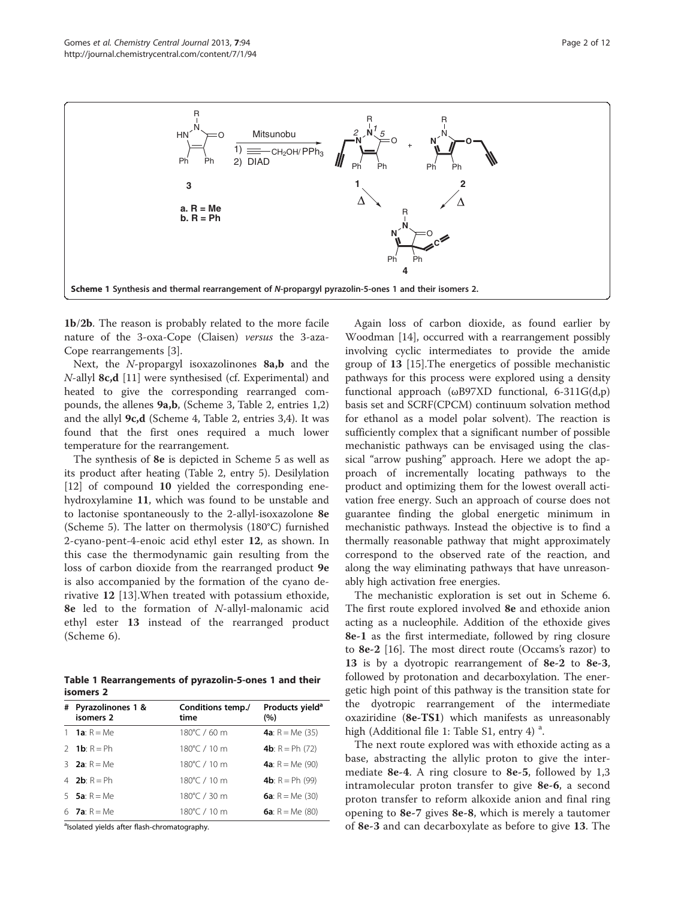<span id="page-1-0"></span>

1b/2b. The reason is probably related to the more facile nature of the 3-oxa-Cope (Claisen) versus the 3-aza-Cope rearrangements [[3\]](#page-11-0).

Next, the N-propargyl isoxazolinones 8a,b and the  $N$ -allyl **8c,d** [\[11](#page-11-0)] were synthesised (cf. Experimental) and heated to give the corresponding rearranged compounds, the allenes 9a,b, (Scheme [3,](#page-2-0) Table [2,](#page-2-0) entries 1,2) and the allyl 9c,d (Scheme [4,](#page-3-0) Table [2,](#page-2-0) entries 3,4). It was found that the first ones required a much lower temperature for the rearrangement.

The synthesis of 8e is depicted in Scheme [5](#page-3-0) as well as its product after heating (Table [2](#page-2-0), entry 5). Desilylation [[12\]](#page-11-0) of compound 10 yielded the corresponding enehydroxylamine 11, which was found to be unstable and to lactonise spontaneously to the 2-allyl-isoxazolone 8e (Scheme [5](#page-3-0)). The latter on thermolysis (180°C) furnished 2-cyano-pent-4-enoic acid ethyl ester 12, as shown. In this case the thermodynamic gain resulting from the loss of carbon dioxide from the rearranged product 9e is also accompanied by the formation of the cyano derivative 12 [[13](#page-11-0)].When treated with potassium ethoxide, 8e led to the formation of N-allyl-malonamic acid ethyl ester 13 instead of the rearranged product (Scheme [6\)](#page-4-0).

Table 1 Rearrangements of pyrazolin-5-ones 1 and their isomers 2

| # | Pyrazolinones 1 &<br>isomers 2 | Conditions temp./<br>time | Products yield <sup>a</sup><br>(%) |
|---|--------------------------------|---------------------------|------------------------------------|
|   | 1 <b>1a</b> : $R = Me$         | 180°C / 60 m              | <b>4a</b> : $R = Me(35)$           |
|   | 2 <b>1b</b> : $R = Ph$         | 180°C / 10 m              | <b>4b</b> : $R = Ph (72)$          |
|   | 3 <b>2a</b> : $R = Me$         | 180°C / 10 m              | <b>4a</b> : $R = Me(90)$           |
|   | 4 2 <b>b</b> $R = Ph$          | 180°C / 10 m              | <b>4b</b> : $R = Ph(99)$           |
|   | 5 <b>5a</b> : $R = Me$         | 180°C / 30 m              | <b>6a</b> : $R = Me(30)$           |
|   | 6 <b>7a</b> : $R = Me$         | 180°C / 10 m              | <b>6a</b> : $R = Me(80)$           |

<sup>a</sup>lsolated yields after flash-chromatography.

Again loss of carbon dioxide, as found earlier by Woodman [[14\]](#page-11-0), occurred with a rearrangement possibly involving cyclic intermediates to provide the amide group of 13 [[15\]](#page-11-0).The energetics of possible mechanistic pathways for this process were explored using a density functional approach (ωB97XD functional, 6-311G(d,p) basis set and SCRF(CPCM) continuum solvation method for ethanol as a model polar solvent). The reaction is sufficiently complex that a significant number of possible mechanistic pathways can be envisaged using the classical "arrow pushing" approach. Here we adopt the approach of incrementally locating pathways to the product and optimizing them for the lowest overall activation free energy. Such an approach of course does not guarantee finding the global energetic minimum in mechanistic pathways. Instead the objective is to find a thermally reasonable pathway that might approximately correspond to the observed rate of the reaction, and along the way eliminating pathways that have unreasonably high activation free energies.

The mechanistic exploration is set out in Scheme [6](#page-4-0). The first route explored involved 8e and ethoxide anion acting as a nucleophile. Addition of the ethoxide gives 8e-1 as the first intermediate, followed by ring closure to 8e-2 [\[16](#page-11-0)]. The most direct route (Occams's razor) to 13 is by a dyotropic rearrangement of 8e-2 to 8e-3, followed by protonation and decarboxylation. The energetic high point of this pathway is the transition state for the dyotropic rearrangement of the intermediate oxaziridine (8e-TS1) which manifests as unreasonably high (Additional file [1](#page-11-0): Table S1, entry 4)<sup>a</sup>.

The next route explored was with ethoxide acting as a base, abstracting the allylic proton to give the intermediate 8e-4. A ring closure to 8e-5, followed by 1,3 intramolecular proton transfer to give 8e-6, a second proton transfer to reform alkoxide anion and final ring opening to 8e-7 gives 8e-8, which is merely a tautomer of 8e-3 and can decarboxylate as before to give 13. The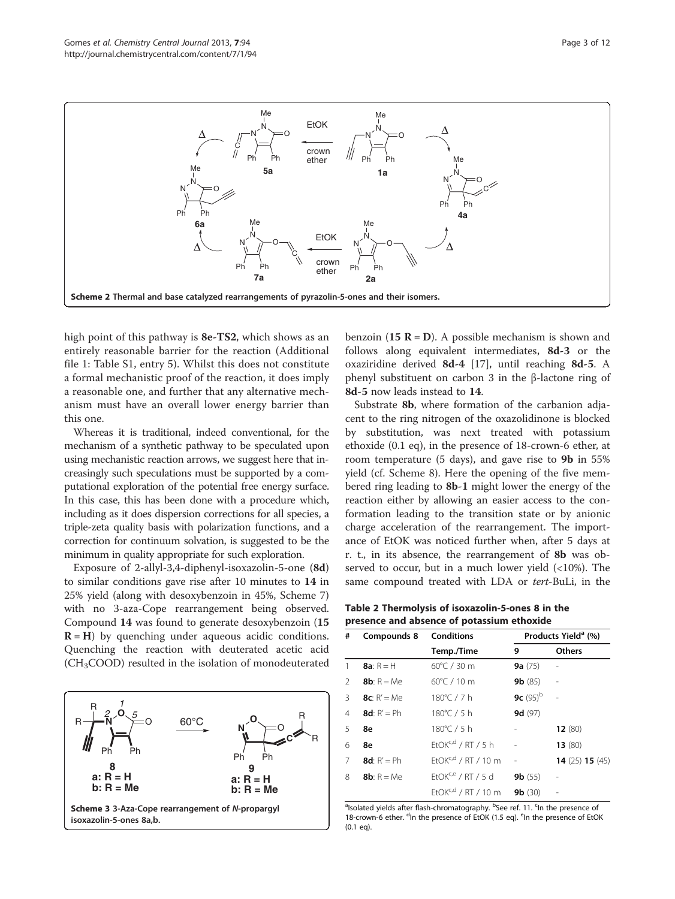<span id="page-2-0"></span>

high point of this pathway is 8e-TS2, which shows as an entirely reasonable barrier for the reaction (Additional file [1](#page-11-0): Table S1, entry 5). Whilst this does not constitute a formal mechanistic proof of the reaction, it does imply a reasonable one, and further that any alternative mechanism must have an overall lower energy barrier than this one.

Whereas it is traditional, indeed conventional, for the mechanism of a synthetic pathway to be speculated upon using mechanistic reaction arrows, we suggest here that increasingly such speculations must be supported by a computational exploration of the potential free energy surface. In this case, this has been done with a procedure which, including as it does dispersion corrections for all species, a triple-zeta quality basis with polarization functions, and a correction for continuum solvation, is suggested to be the minimum in quality appropriate for such exploration.

Exposure of 2-allyl-3,4-diphenyl-isoxazolin-5-one (8d) to similar conditions gave rise after 10 minutes to 14 in 25% yield (along with desoxybenzoin in 45%, Scheme [7](#page-5-0)) with no 3-aza-Cope rearrangement being observed. Compound 14 was found to generate desoxybenzoin (15  $R = H$ ) by quenching under aqueous acidic conditions. Quenching the reaction with deuterated acetic acid  $(CH<sub>3</sub>COOD)$  resulted in the isolation of monodeuterated



benzoin (15  $R = D$ ). A possible mechanism is shown and follows along equivalent intermediates, 8d-3 or the oxaziridine derived 8d-4 [[17\]](#page-11-0), until reaching 8d-5. A phenyl substituent on carbon 3 in the β-lactone ring of 8d-5 now leads instead to 14.

Substrate 8b, where formation of the carbanion adjacent to the ring nitrogen of the oxazolidinone is blocked by substitution, was next treated with potassium ethoxide (0.1 eq), in the presence of 18-crown-6 ether, at room temperature (5 days), and gave rise to 9b in 55% yield (cf. Scheme [8\)](#page-6-0). Here the opening of the five membered ring leading to 8b-1 might lower the energy of the reaction either by allowing an easier access to the conformation leading to the transition state or by anionic charge acceleration of the rearrangement. The importance of EtOK was noticed further when, after 5 days at r. t., in its absence, the rearrangement of 8b was observed to occur, but in a much lower yield  $\left($  < 10%). The same compound treated with LDA or tert-BuLi, in the

Table 2 Thermolysis of isoxazolin-5-ones 8 in the presence and absence of potassium ethoxide

| #             | Compounds 8           | <b>Conditions</b>               | Products Yield <sup>a</sup> (%) |                               |
|---------------|-----------------------|---------------------------------|---------------------------------|-------------------------------|
|               |                       | Temp./Time                      | 9                               | <b>Others</b>                 |
| 1             | 8a: $R = H$           | $60^{\circ}$ C / 30 m           | <b>9a</b> $(75)$                |                               |
| $\mathcal{P}$ | <b>8b</b> : $R = Me$  | $60^{\circ}$ C / 10 m           | <b>9b</b> $(85)$                | L,                            |
| 3             | $8c: R' = Me$         | 180°C / 7 h                     | 9c $(95)^b$                     |                               |
| 4             | $8d$ : R' = Ph        | 180°C / 5 h                     | 9d(97)                          |                               |
| 5             | 8e                    | 180°C / 5 h                     |                                 | 12(80)                        |
| 6             | 8e                    | $FtOK^{c,d}$ / RT / 5 h         | i.                              | 13(80)                        |
| 7             | <b>8d</b> : $R' = Ph$ | $FtOK^{c,d}$ / RT / 10 m        | $\frac{1}{2}$                   | <b>14</b> (25) <b>15</b> (45) |
| 8             | <b>8b</b> : $R = Me$  | EtOK <sup>c,e</sup> / RT / 5 d  | 9b(55)                          | $\overline{a}$                |
|               |                       | EtOK <sup>c,d</sup> / RT / 10 m | 9b(30)                          |                               |

<sup>a</sup>lsolated yields after flash-chromatography. <sup>b</sup>See ref. 11. <sup>c</sup>ln the presence of 18-crown-6 ether. <sup>d</sup>In the presence of EtOK (1.5 eq). <sup>e</sup>In the presence of EtOK (0.1 eq).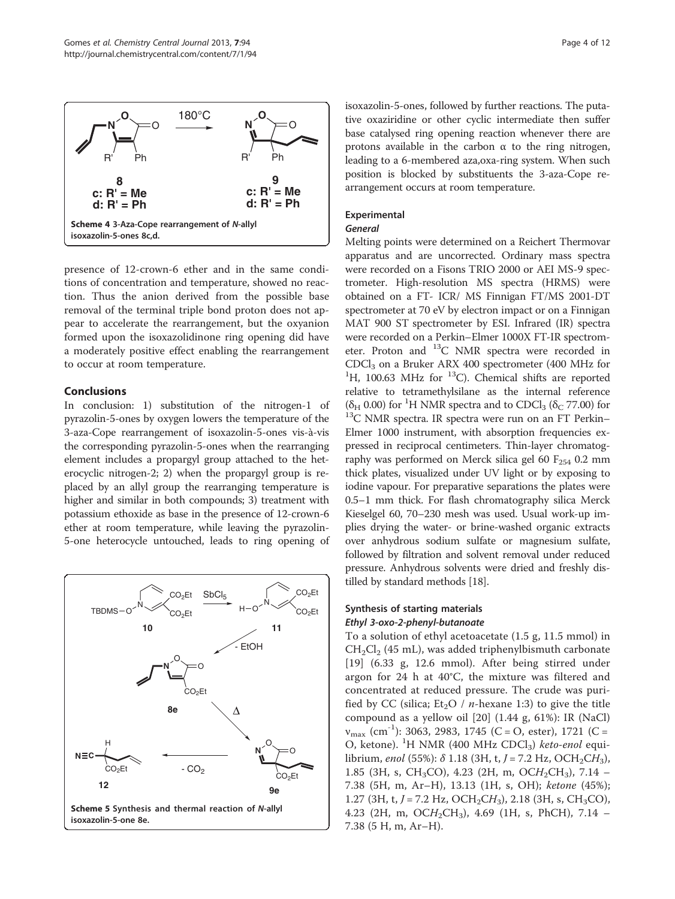<span id="page-3-0"></span>

presence of 12-crown-6 ether and in the same conditions of concentration and temperature, showed no reaction. Thus the anion derived from the possible base removal of the terminal triple bond proton does not appear to accelerate the rearrangement, but the oxyanion formed upon the isoxazolidinone ring opening did have a moderately positive effect enabling the rearrangement to occur at room temperature.

## Conclusions

In conclusion: 1) substitution of the nitrogen-1 of pyrazolin-5-ones by oxygen lowers the temperature of the 3-aza-Cope rearrangement of isoxazolin-5-ones vis-à-vis the corresponding pyrazolin-5-ones when the rearranging element includes a propargyl group attached to the heterocyclic nitrogen-2; 2) when the propargyl group is replaced by an allyl group the rearranging temperature is higher and similar in both compounds; 3) treatment with potassium ethoxide as base in the presence of 12-crown-6 ether at room temperature, while leaving the pyrazolin-5-one heterocycle untouched, leads to ring opening of



isoxazolin-5-ones, followed by further reactions. The putative oxaziridine or other cyclic intermediate then suffer base catalysed ring opening reaction whenever there are protons available in the carbon α to the ring nitrogen, leading to a 6-membered aza,oxa-ring system. When such position is blocked by substituents the 3-aza-Cope rearrangement occurs at room temperature.

## Experimental

#### General

Melting points were determined on a Reichert Thermovar apparatus and are uncorrected. Ordinary mass spectra were recorded on a Fisons TRIO 2000 or AEI MS-9 spectrometer. High-resolution MS spectra (HRMS) were obtained on a FT- ICR/ MS Finnigan FT/MS 2001-DT spectrometer at 70 eV by electron impact or on a Finnigan MAT 900 ST spectrometer by ESI. Infrared (IR) spectra were recorded on a Perkin–Elmer 1000X FT-IR spectrometer. Proton and <sup>13</sup>C NMR spectra were recorded in CDCl<sub>3</sub> on a Bruker ARX 400 spectrometer (400 MHz for CDCl<sub>3</sub> on a Bruker ARX 400 spectrometer (400 MHz for <sup>1</sup>H, 100.63 MHz for <sup>13</sup>C). Chemical shifts are reported relative to tetramethylsilane as the internal reference ( $\delta_H$  0.00) for <sup>1</sup>H NMR spectra and to CDCl<sub>3</sub> ( $\delta_C$  77.00) for  $^{13}$ C NMR spectra. IR spectra were run on an FT Perkin– Elmer 1000 instrument, with absorption frequencies expressed in reciprocal centimeters. Thin-layer chromatography was performed on Merck silica gel 60  $F_{254}$  0.2 mm thick plates, visualized under UV light or by exposing to iodine vapour. For preparative separations the plates were 0.5–1 mm thick. For flash chromatography silica Merck Kieselgel 60, 70–230 mesh was used. Usual work-up implies drying the water- or brine-washed organic extracts over anhydrous sodium sulfate or magnesium sulfate, followed by filtration and solvent removal under reduced pressure. Anhydrous solvents were dried and freshly distilled by standard methods [[18](#page-11-0)].

# Synthesis of starting materials Ethyl 3-oxo-2-phenyl-butanoate

To a solution of ethyl acetoacetate (1.5 g, 11.5 mmol) in  $CH_2Cl_2$  (45 mL), was added triphenylbismuth carbonate [[19](#page-11-0)] (6.33 g, 12.6 mmol). After being stirred under argon for 24 h at 40°C, the mixture was filtered and concentrated at reduced pressure. The crude was purified by CC (silica;  $Et<sub>2</sub>O / n$ -hexane 1:3) to give the title compound as a yellow oil [\[20](#page-11-0)] (1.44 g, 61%): IR (NaCl)  $v_{\text{max}}$  (cm<sup>-1</sup>): 3063, 2983, 1745 (C = O, ester), 1721 (C = O, ketone). <sup>1</sup>H NMR (400 MHz CDCl<sub>3</sub>) keto-enol equilibrium, enol (55%):  $\delta$  1.18 (3H, t, J = 7.2 Hz, OCH<sub>2</sub>CH<sub>3</sub>), 1.85 (3H, s, CH<sub>3</sub>CO), 4.23 (2H, m, OCH<sub>2</sub>CH<sub>3</sub>), 7.14 – 7.38 (5H, m, Ar–H), 13.13 (1H, s, OH); ketone (45%); 1.27 (3H, t, J = 7.2 Hz, OCH<sub>2</sub>CH<sub>3</sub>), 2.18 (3H, s, CH<sub>3</sub>CO), 4.23 (2H, m,  $OCH_2CH_3$ ), 4.69 (1H, s, PhCH), 7.14 – 7.38 (5 H, m, Ar–H).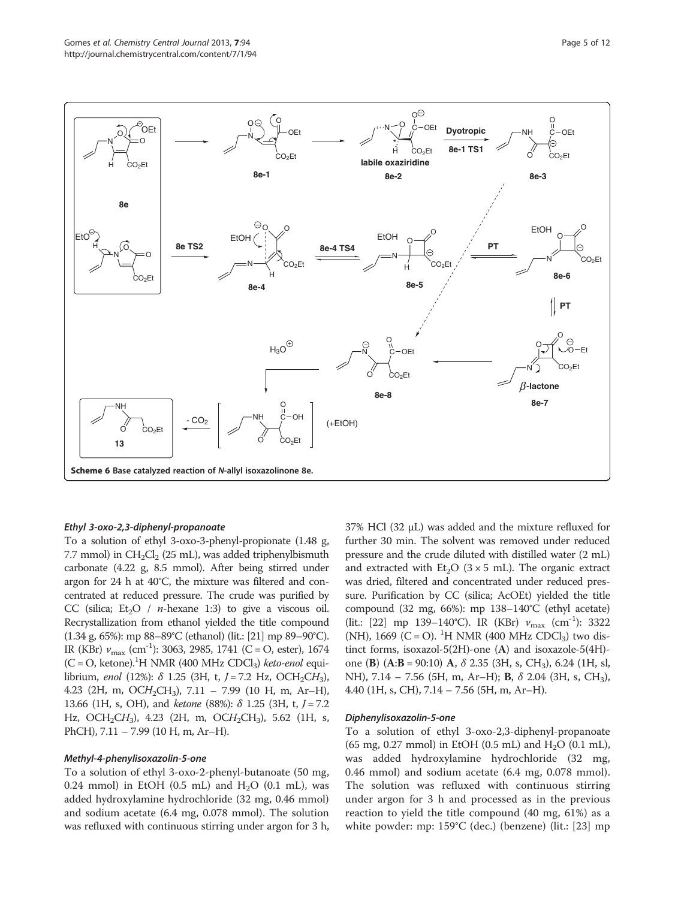<span id="page-4-0"></span>

#### Ethyl 3-oxo-2,3-diphenyl-propanoate

To a solution of ethyl 3-oxo-3-phenyl-propionate (1.48 g, 7.7 mmol) in  $CH_2Cl_2$  (25 mL), was added triphenylbismuth carbonate (4.22 g, 8.5 mmol). After being stirred under argon for 24 h at 40°C, the mixture was filtered and concentrated at reduced pressure. The crude was purified by CC (silica;  $Et<sub>2</sub>O / n$ -hexane 1:3) to give a viscous oil. Recrystallization from ethanol yielded the title compound (1.34 g, 65%): mp 88–89°C (ethanol) (lit.: [\[21](#page-11-0)] mp 89–90°C). IR (KBr)  $v_{\text{max}}$  (cm<sup>-1</sup>): 3063, 2985, 1741 (C = O, ester), 1674  $(C = O, keton$ e).<sup>1</sup>H NMR (400 MHz CDCl<sub>3</sub>) *keto-enol* equilibrium, enol (12%):  $\delta$  1.25 (3H, t, J = 7.2 Hz, OCH<sub>2</sub>CH<sub>3</sub>), 4.23 (2H, m, OCH<sub>2</sub>CH<sub>3</sub>), 7.11 – 7.99 (10 H, m, Ar–H), 13.66 (1H, s, OH), and *ketone* (88%):  $\delta$  1.25 (3H, t, *J* = 7.2 Hz, OCH<sub>2</sub>CH<sub>3</sub>), 4.23 (2H, m, OCH<sub>2</sub>CH<sub>3</sub>), 5.62 (1H, s, PhCH), 7.11 – 7.99 (10 H, m, Ar–H).

#### Methyl-4-phenylisoxazolin-5-one

To a solution of ethyl 3-oxo-2-phenyl-butanoate (50 mg, 0.24 mmol) in EtOH (0.5 mL) and  $H<sub>2</sub>O$  (0.1 mL), was added hydroxylamine hydrochloride (32 mg, 0.46 mmol) and sodium acetate (6.4 mg, 0.078 mmol). The solution was refluxed with continuous stirring under argon for 3 h, 37% HCl (32 μL) was added and the mixture refluxed for further 30 min. The solvent was removed under reduced pressure and the crude diluted with distilled water (2 mL) and extracted with  $Et_2O$  (3 × 5 mL). The organic extract was dried, filtered and concentrated under reduced pressure. Purification by CC (silica; AcOEt) yielded the title compound (32 mg, 66%): mp 138–140°C (ethyl acetate) (lit.: [[22](#page-11-0)] mp 139–140°C). IR (KBr)  $v_{\text{max}}$  (cm<sup>-1</sup>): 3322 (NH), 1669 (C = O). <sup>1</sup>H NMR (400 MHz CDCl<sub>3</sub>) two distinct forms, isoxazol-5(2H)-one (A) and isoxazole-5(4H) one (B)  $(A:B = 90:10)$  A,  $\delta$  2.35 (3H, s, CH<sub>3</sub>), 6.24 (1H, sl, NH), 7.14 – 7.56 (5H, m, Ar–H); **B**,  $\delta$  2.04 (3H, s, CH<sub>3</sub>), 4.40 (1H, s, CH), 7.14 – 7.56 (5H, m, Ar–H).

#### Diphenylisoxazolin-5-one

To a solution of ethyl 3-oxo-2,3-diphenyl-propanoate (65 mg, 0.27 mmol) in EtOH (0.5 mL) and  $H_2O$  (0.1 mL), was added hydroxylamine hydrochloride (32 mg, 0.46 mmol) and sodium acetate (6.4 mg, 0.078 mmol). The solution was refluxed with continuous stirring under argon for 3 h and processed as in the previous reaction to yield the title compound (40 mg, 61%) as a white powder: mp: 159°C (dec.) (benzene) (lit.: [\[23](#page-11-0)] mp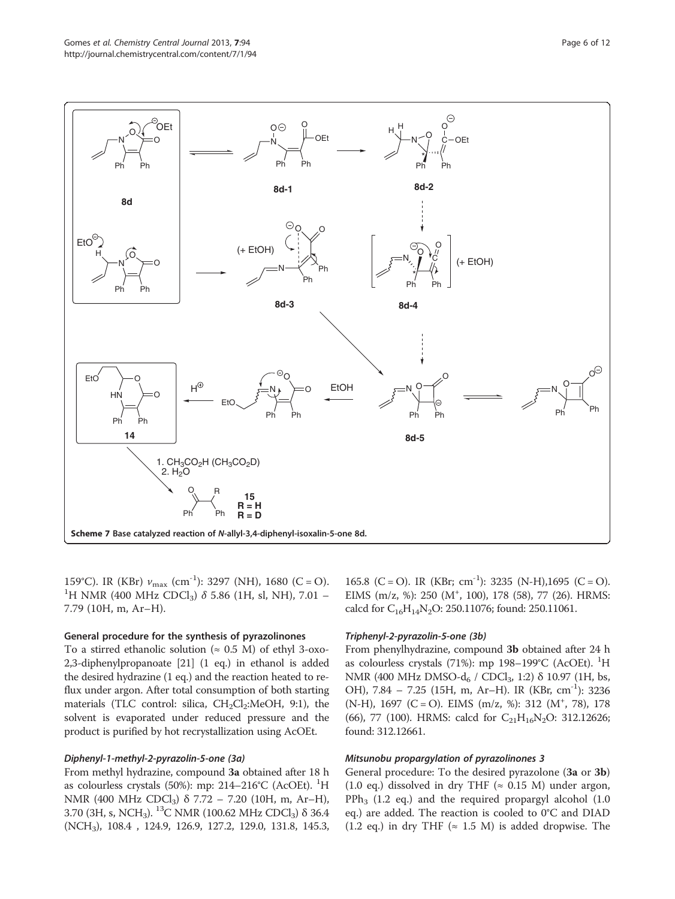<span id="page-5-0"></span>

159°C). IR (KBr)  $v_{\text{max}}$  (cm<sup>-1</sup>): 3297 (NH), 1680 (C = O). <sup>1</sup>H NMR (400 MHz CDCl<sub>3</sub>)  $\delta$  5.86 (1H, sl, NH), 7.01 – 7.79 (10H, m, Ar–H).

#### General procedure for the synthesis of pyrazolinones

To a stirred ethanolic solution ( $\approx$  0.5 M) of ethyl 3-oxo-2,3-diphenylpropanoate [\[21\]](#page-11-0) (1 eq.) in ethanol is added the desired hydrazine (1 eq.) and the reaction heated to reflux under argon. After total consumption of both starting materials (TLC control: silica,  $CH_2Cl_2$ :MeOH, 9:1), the solvent is evaporated under reduced pressure and the product is purified by hot recrystallization using AcOEt.

# Diphenyl-1-methyl-2-pyrazolin-5-one (3a)

From methyl hydrazine, compound 3a obtained after 18 h as colourless crystals (50%): mp: 214–216°C (AcOEt). <sup>1</sup>H NMR (400 MHz CDCl<sub>3</sub>)  $\delta$  7.72 – 7.20 (10H, m, Ar–H), 3.70 (3H, s, NCH<sub>3</sub>). <sup>13</sup>C NMR (100.62 MHz CDCl<sub>3</sub>)  $\delta$  36.4 (NCH3), 108.4 , 124.9, 126.9, 127.2, 129.0, 131.8, 145.3,

165.8 (C = O). IR (KBr; cm<sup>-1</sup>): 3235 (N-H),1695 (C = O). EIMS (m/z, %): 250 (M<sup>+</sup>, 100), 178 (58), 77 (26). HRMS: calcd for C<sub>16</sub>H<sub>14</sub>N<sub>2</sub>O: 250.11076; found: 250.11061.

#### Triphenyl-2-pyrazolin-5-one (3b)

From phenylhydrazine, compound 3b obtained after 24 h as colourless crystals (71%): mp 198-199°C (AcOEt). <sup>1</sup>H NMR (400 MHz DMSO-d<sub>6</sub> / CDCl<sub>3</sub>, 1:2) δ 10.97 (1H, bs, OH), 7.84 – 7.25 (15H, m, Ar–H). IR (KBr, cm<sup>-1</sup>): 3236 (N-H), 1697 (C = O). EIMS (m/z, %): 312 (M<sup>+</sup>, 78), 178 (66), 77 (100). HRMS: calcd for  $C_{21}H_{16}N_2O$ : 312.12626; found: 312.12661.

#### Mitsunobu propargylation of pyrazolinones 3

General procedure: To the desired pyrazolone (3a or 3b) (1.0 eq.) dissolved in dry THF ( $\approx$  0.15 M) under argon,  $PPh<sub>3</sub>$  (1.2 eq.) and the required propargyl alcohol (1.0 eq.) are added. The reaction is cooled to 0°C and DIAD (1.2 eq.) in dry THF ( $\approx$  1.5 M) is added dropwise. The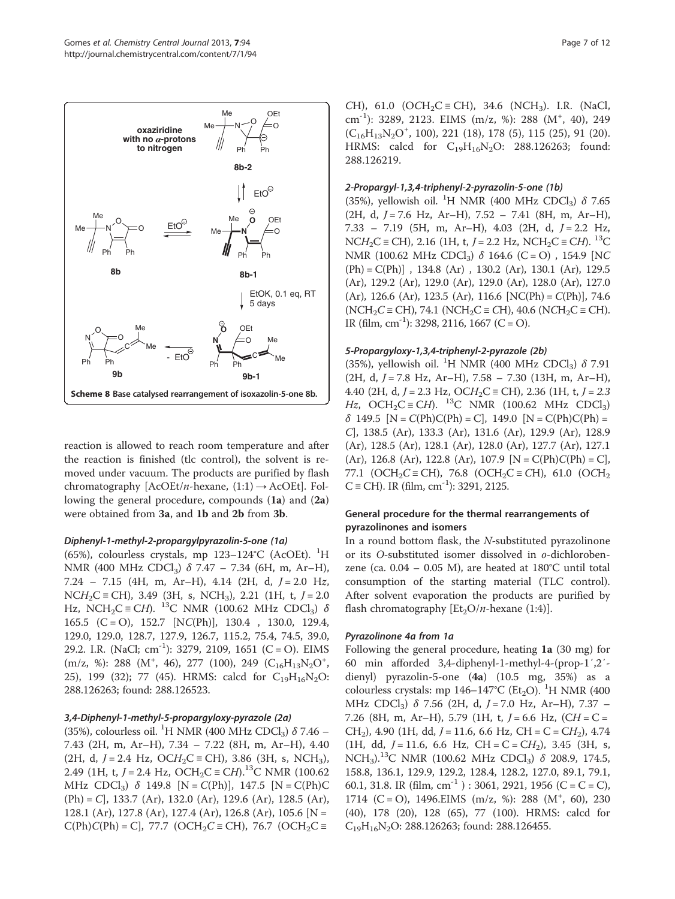<span id="page-6-0"></span>

reaction is allowed to reach room temperature and after the reaction is finished (tlc control), the solvent is removed under vacuum. The products are purified by flash chromatography  $[ACOEt/n$ -hexane,  $(1:1) \rightarrow ACOEt]$ . Following the general procedure, compounds (1a) and (2a) were obtained from 3a, and 1b and 2b from 3b.

## Diphenyl-1-methyl-2-propargylpyrazolin-5-one (1a)

(65%), colourless crystals, mp  $123-124$ °C (AcOEt). <sup>1</sup>H NMR (400 MHz CDCl<sub>3</sub>) δ 7.47 – 7.34 (6H, m, Ar–H),  $7.24 - 7.15$  (4H, m, Ar–H), 4.14 (2H, d,  $J = 2.0$  Hz,  $NCH_2C$  = CH), 3.49 (3H, s, NCH<sub>3</sub>), 2.21 (1H, t,  $J = 2.0$ Hz, NCH<sub>2</sub>C = CH). <sup>13</sup>C NMR (100.62 MHz CDCl<sub>3</sub>)  $\delta$ 165.5 (C = O), 152.7 [NC(Ph)], 130.4 , 130.0, 129.4, 129.0, 129.0, 128.7, 127.9, 126.7, 115.2, 75.4, 74.5, 39.0, 29.2. I.R. (NaCl; cm<sup>-1</sup>): 3279, 2109, 1651 (C = O). EIMS  $(m/z, %): 288 (M<sup>+</sup>, 46), 277 (100), 249 (C<sub>16</sub>H<sub>13</sub>N<sub>2</sub>O<sup>+</sup>,$ 25), 199 (32); 77 (45). HRMS: calcd for  $C_{19}H_{16}N_2O$ : 288.126263; found: 288.126523.

# 3,4-Diphenyl-1-methyl-5-propargyloxy-pyrazole (2a)

(35%), colourless oil. <sup>1</sup>H NMR (400 MHz CDCl<sub>3</sub>)  $\delta$  7.46 – 7.43 (2H, m, Ar–H), 7.34 – 7.22 (8H, m, Ar–H), 4.40 (2H, d, J = 2.4 Hz, OCH<sub>2</sub>C = CH), 3.86 (3H, s, NCH<sub>3</sub>), 2.49 (1H, t,  $J = 2.4$  Hz, OCH<sub>2</sub>C  $\equiv$  CH).<sup>13</sup>C NMR (100.62 MHz CDCl<sub>3</sub>) δ 149.8 [N = C(Ph)], 147.5 [N = C(Ph)C  $(Ph) = C$ , 133.7 (Ar), 132.0 (Ar), 129.6 (Ar), 128.5 (Ar), 128.1 (Ar), 127.8 (Ar), 127.4 (Ar), 126.8 (Ar), 105.6 [N =  $C(Ph)C(Ph) = C$ , 77.7 (OCH<sub>2</sub>C = CH), 76.7 (OCH<sub>2</sub>C =

CH), 61.0 (OCH<sub>2</sub>C = CH), 34.6 (NCH<sub>3</sub>). I.R. (NaCl, cm<sup>-1</sup>): 3289, 2123. EIMS (m/z, %): 288 (M<sup>+</sup>, 40), 249  $(C_{16}H_{13}N_2O^+, 100)$ , 221 (18), 178 (5), 115 (25), 91 (20). HRMS: calcd for  $C_{19}H_{16}N_2O$ : 288.126263; found: 288.126219.

# 2-Propargyl-1,3,4-triphenyl-2-pyrazolin-5-one (1b)

(35%), yellowish oil. <sup>1</sup>H NMR (400 MHz CDCl<sub>3</sub>)  $\delta$  7.65  $(2H, d, J = 7.6 Hz, Ar-H), 7.52 - 7.41 (8H, m, Ar-H),$  $7.33 - 7.19$  (5H, m, Ar–H), 4.03 (2H, d,  $J = 2.2$  Hz,  $NCH_2C = CH$ ), 2.16 (1H, t, J = 2.2 Hz,  $NCH_2C = CH$ ). <sup>13</sup>C NMR (100.62 MHz CDCl<sub>3</sub>)  $\delta$  164.6 (C = O), 154.9 [NC  $(Ph) = C(Ph)$ ], 134.8 (Ar), 130.2 (Ar), 130.1 (Ar), 129.5 (Ar), 129.2 (Ar), 129.0 (Ar), 129.0 (Ar), 128.0 (Ar), 127.0  $(Ar)$ , 126.6  $(Ar)$ , 123.5  $(Ar)$ , 116.6  $[NC(Ph) = C(Ph)]$ , 74.6  $(NCH_2C \equiv CH)$ , 74.1  $(NCH_2C \equiv CH)$ , 40.6  $(NCH_2C \equiv CH)$ . IR (film, cm<sup>-1</sup>): 3298, 2116, 1667 (C = O).

## 5-Propargyloxy-1,3,4-triphenyl-2-pyrazole (2b)

(35%), yellowish oil. <sup>1</sup>H NMR (400 MHz CDCl<sub>3</sub>)  $\delta$  7.91  $(2H, d, J = 7.8 Hz, Ar-H), 7.58 - 7.30 (13H, m, Ar-H),$ 4.40 (2H, d,  $J = 2.3$  Hz,  $OCH_2C \equiv CH$ ), 2.36 (1H, t,  $J = 2.3$ Hz, OCH<sub>2</sub>C ≡ CH). <sup>13</sup>C NMR (100.62 MHz CDCl<sub>3</sub>)  $\delta$  149.5  $[N = C(Ph)C(Ph) = C]$ , 149.0  $[N = C(Ph)C(Ph) =$ C], 138.5 (Ar), 133.3 (Ar), 131.6 (Ar), 129.9 (Ar), 128.9 (Ar), 128.5 (Ar), 128.1 (Ar), 128.0 (Ar), 127.7 (Ar), 127.1 (Ar), 126.8 (Ar), 122.8 (Ar), 107.9 [N = C(Ph)C(Ph) = C], 77.1 (OCH<sub>2</sub>C ≡ CH), 76.8 (OCH<sub>2</sub>C ≡ CH), 61.0 (OCH<sub>2</sub>  $C \equiv CH$ ). IR (film, cm<sup>-1</sup>): 3291, 2125.

# General procedure for the thermal rearrangements of pyrazolinones and isomers

In a round bottom flask, the N-substituted pyrazolinone or its O-substituted isomer dissolved in o-dichlorobenzene (ca.  $0.04 - 0.05$  M), are heated at 180°C until total consumption of the starting material (TLC control). After solvent evaporation the products are purified by flash chromatography  $[Et_2O/n$ -hexane (1:4)].

# Pyrazolinone 4a from 1a

Following the general procedure, heating 1a (30 mg) for 60 min afforded 3,4-diphenyl-1-methyl-4-(prop-1′,2′ dienyl) pyrazolin-5-one (4a) (10.5 mg, 35%) as a colourless crystals: mp  $146-147^{\circ}$ C (Et<sub>2</sub>O). <sup>1</sup>H NMR (400 MHz CDCl<sub>3</sub>)  $\delta$  7.56 (2H, d, J = 7.0 Hz, Ar–H), 7.37 – 7.26 (8H, m, Ar–H), 5.79 (1H, t,  $J = 6.6$  Hz, (CH = C = CH<sub>2</sub>), 4.90 (1H, dd,  $J = 11.6$ , 6.6 Hz, CH = C = CH<sub>2</sub>), 4.74 (1H, dd,  $J = 11.6$ , 6.6 Hz, CH = C = CH<sub>2</sub>), 3.45 (3H, s, NCH<sub>3</sub>).<sup>13</sup>C NMR (100.62 MHz CDCl<sub>3</sub>)  $\delta$  208.9, 174.5, 158.8, 136.1, 129.9, 129.2, 128.4, 128.2, 127.0, 89.1, 79.1, 60.1, 31.8. IR (film,  $cm^{-1}$ ) : 3061, 2921, 1956 (C = C = C), 1714 (C = O), 1496.EIMS (m/z, %): 288 (M<sup>+</sup>, 60), 230 (40), 178 (20), 128 (65), 77 (100). HRMS: calcd for  $C_{19}H_{16}N_2O: 288.126263$ ; found: 288.126455.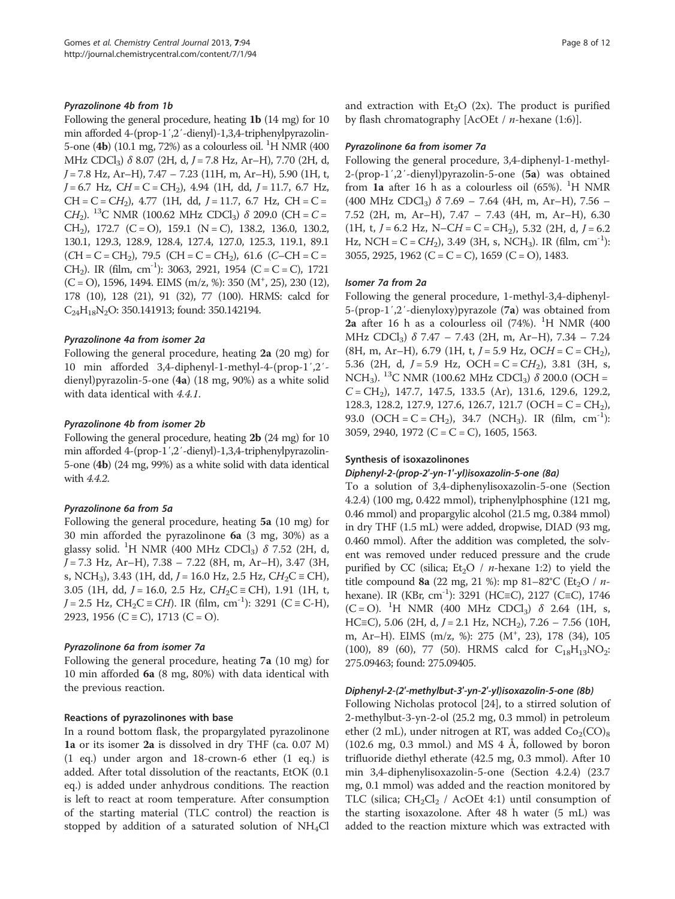### Pyrazolinone 4b from 1b

Following the general procedure, heating 1b (14 mg) for 10 min afforded 4-(prop-1′,2′-dienyl)-1,3,4-triphenylpyrazolin-5-one (4b) (10.1 mg, 72%) as a colourless oil. <sup>1</sup>H NMR (400 MHz CDCl<sub>3</sub>)  $\delta$  8.07 (2H, d, J = 7.8 Hz, Ar–H), 7.70 (2H, d, J = 7.8 Hz, Ar–H), 7.47 – 7.23 (11H, m, Ar–H), 5.90 (1H, t,  $J = 6.7$  Hz,  $CH = C = CH<sub>2</sub>$ ), 4.94 (1H, dd,  $J = 11.7$ , 6.7 Hz,  $CH = C = CH<sub>2</sub>$ ), 4.77 (1H, dd, J = 11.7, 6.7 Hz, CH = C = CH<sub>2</sub>). <sup>13</sup>C NMR (100.62 MHz CDCl<sub>3</sub>) δ 209.0 (CH = C = CH<sub>2</sub>), 172.7 (C = O), 159.1 (N = C), 138.2, 136.0, 130.2, 130.1, 129.3, 128.9, 128.4, 127.4, 127.0, 125.3, 119.1, 89.1  $(CH = C = CH<sub>2</sub>)$ , 79.5  $(CH = C = CH<sub>2</sub>)$ , 61.6  $(C - CH = C =$ CH<sub>2</sub>). IR (film, cm<sup>-1</sup>): 3063, 2921, 1954 (C = C = C), 1721  $(C = O)$ , 1596, 1494. EIMS (m/z, %): 350 (M<sup>+</sup>, 25), 230 (12), 178 (10), 128 (21), 91 (32), 77 (100). HRMS: calcd for C24H18N2O: 350.141913; found: 350.142194.

## Pyrazolinone 4a from isomer 2a

Following the general procedure, heating 2a (20 mg) for 10 min afforded 3,4-diphenyl-1-methyl-4-(prop-1′,2′ dienyl)pyrazolin-5-one (4a) (18 mg, 90%) as a white solid with data identical with 4.4.1.

#### Pyrazolinone 4b from isomer 2b

Following the general procedure, heating 2b (24 mg) for 10 min afforded 4-(prop-1′,2′-dienyl)-1,3,4-triphenylpyrazolin-5-one (4b) (24 mg, 99%) as a white solid with data identical with 4.4.2.

## Pyrazolinone 6a from 5a

Following the general procedure, heating 5a (10 mg) for 30 min afforded the pyrazolinone 6a (3 mg, 30%) as a glassy solid. <sup>1</sup>H NMR (400 MHz CDCl<sub>3</sub>)  $\delta$  7.52 (2H, d, J = 7.3 Hz, Ar–H), 7.38 – 7.22 (8H, m, Ar–H), 3.47 (3H, s, NCH<sub>3</sub>), 3.43 (1H, dd, *J* = 16.0 Hz, 2.5 Hz, CH<sub>2</sub>C  $\equiv$  CH), 3.05 (1H, dd,  $J = 16.0$ , 2.5 Hz,  $CH_2C \equiv CH$ ), 1.91 (1H, t,  $J = 2.5$  Hz, CH<sub>2</sub>C  $\equiv$  CH). IR (film, cm<sup>-1</sup>): 3291 (C  $\equiv$  C-H), 2923, 1956 (C  $\equiv$  C), 1713 (C  $=$  O).

#### Pyrazolinone 6a from isomer 7a

Following the general procedure, heating 7a (10 mg) for 10 min afforded 6a (8 mg, 80%) with data identical with the previous reaction.

#### Reactions of pyrazolinones with base

In a round bottom flask, the propargylated pyrazolinone 1a or its isomer 2a is dissolved in dry THF (ca. 0.07 M) (1 eq.) under argon and 18-crown-6 ether (1 eq.) is added. After total dissolution of the reactants, EtOK (0.1 eq.) is added under anhydrous conditions. The reaction is left to react at room temperature. After consumption of the starting material (TLC control) the reaction is stopped by addition of a saturated solution of  $NH<sub>4</sub>Cl$  and extraction with  $Et<sub>2</sub>O$  (2x). The product is purified by flash chromatography  $[AcOE / n$ -hexane (1:6)].

#### Pyrazolinone 6a from isomer 7a

Following the general procedure, 3,4-diphenyl-1-methyl-2-(prop-1′,2′-dienyl)pyrazolin-5-one (5a) was obtained from  $1a$  after 16 h as a colourless oil (65%). <sup>1</sup>H NMR (400 MHz CDCl<sub>3</sub>)  $\delta$  7.69 – 7.64 (4H, m, Ar–H), 7.56 – 7.52 (2H, m, Ar–H), 7.47 – 7.43 (4H, m, Ar–H), 6.30 (1H, t,  $J = 6.2$  Hz,  $N - CH = C = CH_2$ ), 5.32 (2H, d,  $J = 6.2$ Hz, NCH =  $C = CH_2$ ), 3.49 (3H, s, NCH<sub>3</sub>). IR (film, cm<sup>-1</sup>): 3055, 2925, 1962 (C = C = C), 1659 (C = O), 1483.

#### Isomer 7a from 2a

Following the general procedure, 1-methyl-3,4-diphenyl-5-(prop-1′,2′-dienyloxy)pyrazole (7a) was obtained from 2a after 16 h as a colourless oil  $(74%)$ . <sup>1</sup>H NMR  $(400)$ MHz CDCl<sub>3</sub>)  $\delta$  7.47 – 7.43 (2H, m, Ar–H), 7.34 – 7.24  $(8H, m, Ar-H)$ , 6.79 (1H, t,  $J = 5.9$  Hz, OCH = C = CH<sub>2</sub>), 5.36 (2H, d,  $J = 5.9$  Hz, OCH = C = CH<sub>2</sub>), 3.81 (3H, s, NCH<sub>3</sub>). <sup>13</sup>C NMR (100.62 MHz CDCl<sub>3</sub>)  $\delta$  200.0 (OCH =  $C = CH<sub>2</sub>$ ), 147.7, 147.5, 133.5 (Ar), 131.6, 129.6, 129.2, 128.3, 128.2, 127.9, 127.6, 126.7, 121.7 (OCH =  $C = CH<sub>2</sub>$ ), 93.0 (OCH = C = CH<sub>2</sub>), 34.7 (NCH<sub>3</sub>). IR (film, cm<sup>-1</sup>): 3059, 2940, 1972 (C = C = C), 1605, 1563.

#### Synthesis of isoxazolinones

#### Diphenyl-2-(prop-2′-yn-1′-yl)isoxazolin-5-one (8a)

To a solution of 3,4-diphenylisoxazolin-5-one (Section 4.2.4) (100 mg, 0.422 mmol), triphenylphosphine (121 mg, 0.46 mmol) and propargylic alcohol (21.5 mg, 0.384 mmol) in dry THF (1.5 mL) were added, dropwise, DIAD (93 mg, 0.460 mmol). After the addition was completed, the solvent was removed under reduced pressure and the crude purified by CC (silica; Et<sub>2</sub>O / *n*-hexane 1:2) to yield the title compound 8a (22 mg, 21 %): mp 81-82°C (Et<sub>2</sub>O / nhexane). IR (KBr, cm<sup>-1</sup>): 3291 (HC≡C), 2127 (C≡C), 1746  $(C = O)$ . <sup>1</sup>H NMR (400 MHz CDCl<sub>3</sub>)  $\delta$  2.64 (1H, s, HC≡C), 5.06 (2H, d,  $J = 2.1$  Hz, NCH<sub>2</sub>), 7.26 – 7.56 (10H, m, Ar-H). EIMS (m/z, %): 275 (M<sup>+</sup>, 23), 178 (34), 105 (100), 89 (60), 77 (50). HRMS calcd for  $C_{18}H_{13}NO_2$ : 275.09463; found: 275.09405.

#### Diphenyl-2-(2′-methylbut-3′-yn-2′-yl)isoxazolin-5-one (8b)

Following Nicholas protocol [\[24](#page-11-0)], to a stirred solution of 2-methylbut-3-yn-2-ol (25.2 mg, 0.3 mmol) in petroleum ether (2 mL), under nitrogen at RT, was added  $Co_2(CO)_8$ (102.6 mg, 0.3 mmol.) and MS 4 Å, followed by boron trifluoride diethyl etherate (42.5 mg, 0.3 mmol). After 10 min 3,4-diphenylisoxazolin-5-one (Section 4.2.4) (23.7 mg, 0.1 mmol) was added and the reaction monitored by TLC (silica;  $CH_2Cl_2$  / AcOEt 4:1) until consumption of the starting isoxazolone. After 48 h water (5 mL) was added to the reaction mixture which was extracted with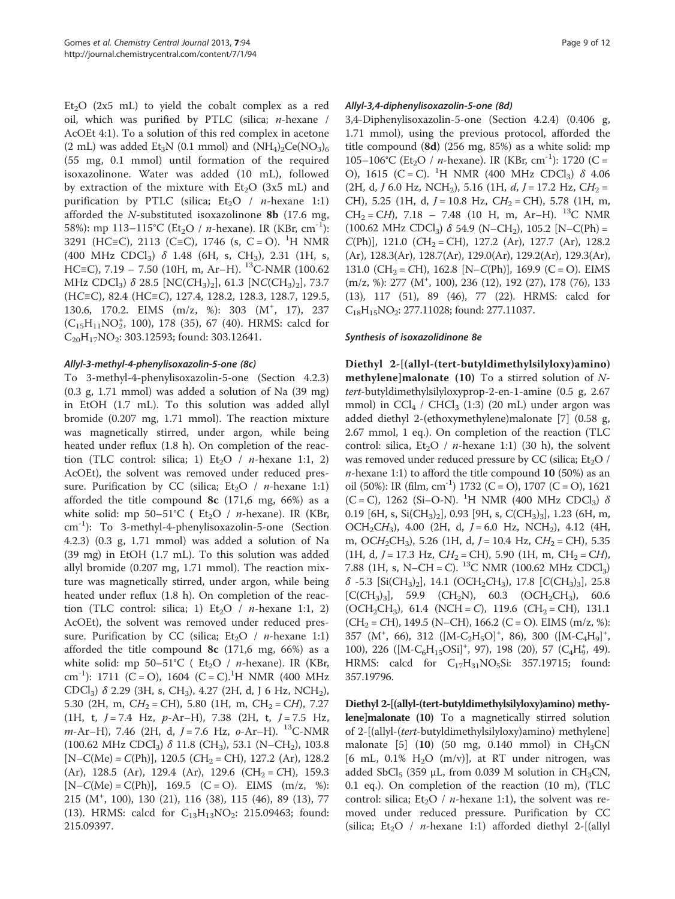Et<sub>2</sub>O (2x5 mL) to yield the cobalt complex as a red oil, which was purified by PTLC (silica; n-hexane / AcOEt 4:1). To a solution of this red complex in acetone (2 mL) was added Et<sub>3</sub>N (0.1 mmol) and  $(NH_4)_2Ce(NO_3)_6$ (55 mg, 0.1 mmol) until formation of the required isoxazolinone. Water was added (10 mL), followed by extraction of the mixture with  $Et<sub>2</sub>O$  (3x5 mL) and purification by PTLC (silica;  $Et<sub>2</sub>O / n$ -hexane 1:1) afforded the N-substituted isoxazolinone 8b (17.6 mg, 58%): mp 113–115°C (Et<sub>2</sub>O / *n*-hexane). IR (KBr, cm<sup>-1</sup>): 3291 (HC≡C), 2113 (C≡C), 1746 (s, C = O). <sup>1</sup>H NMR (400 MHz CDCl<sub>3</sub>)  $\delta$  1.48 (6H, s, CH<sub>3</sub>), 2.31 (1H, s, HC≡C), 7.19 – 7.50 (10H, m, Ar–H). <sup>13</sup>C-NMR (100.62 MHz CDCl<sub>3</sub>) δ 28.5 [NC(CH<sub>3</sub>)<sub>2</sub>], 61.3 [NC(CH<sub>3</sub>)<sub>2</sub>], 73.7 (HC≡C), 82.4 (HC≡C), 127.4, 128.2, 128.3, 128.7, 129.5, 130.6, 170.2. EIMS (m/z, %): 303 (M<sup>+</sup>, 17), 237  $(C_{15}H_{11}NO_2^*$ , 100), 178 (35), 67 (40). HRMS: calcd for  $C_{20}H_{17}NO_2$ : 303.12593; found: 303.12641.

## Allyl-3-methyl-4-phenylisoxazolin-5-one (8c)

To 3-methyl-4-phenylisoxazolin-5-one (Section 4.2.3) (0.3 g, 1.71 mmol) was added a solution of Na (39 mg) in EtOH (1.7 mL). To this solution was added allyl bromide (0.207 mg, 1.71 mmol). The reaction mixture was magnetically stirred, under argon, while being heated under reflux (1.8 h). On completion of the reaction (TLC control: silica; 1) Et<sub>2</sub>O /  $n$ -hexane 1:1, 2) AcOEt), the solvent was removed under reduced pressure. Purification by CC (silica; Et<sub>2</sub>O / *n*-hexane 1:1) afforded the title compound  $\&$  (171,6 mg, 66%) as a white solid: mp 50–51°C ( $Et<sub>2</sub>O / n$ -hexane). IR (KBr, cm-1): To 3-methyl-4-phenylisoxazolin-5-one (Section 4.2.3) (0.3 g, 1.71 mmol) was added a solution of Na (39 mg) in EtOH (1.7 mL). To this solution was added allyl bromide (0.207 mg, 1.71 mmol). The reaction mixture was magnetically stirred, under argon, while being heated under reflux (1.8 h). On completion of the reaction (TLC control: silica; 1) Et<sub>2</sub>O / *n*-hexane 1:1, 2) AcOEt), the solvent was removed under reduced pressure. Purification by CC (silica;  $Et_2O / n$ -hexane 1:1) afforded the title compound  $8c$  (171,6 mg, 66%) as a white solid: mp 50–51°C (  $Et<sub>2</sub>O$  / *n*-hexane). IR (KBr, cm<sup>-1</sup>): 1711 (C = O), 1604 (C = C).<sup>1</sup>H NMR (400 MHz CDCl<sub>3</sub>)  $\delta$  2.29 (3H, s, CH<sub>3</sub>), 4.27 (2H, d, J 6 Hz, NCH<sub>2</sub>), 5.30 (2H, m,  $CH_2 = CH$ ), 5.80 (1H, m,  $CH_2 = CH$ ), 7.27 (1H, t,  $J = 7.4$  Hz,  $p-Ar-H$ ), 7.38 (2H, t,  $J = 7.5$  Hz,  $m$ -Ar–H), 7.46 (2H, d,  $J = 7.6$  Hz,  $o$ -Ar–H). <sup>13</sup>C-NMR (100.62 MHz CDCl<sub>3</sub>)  $\delta$  11.8 (CH<sub>3</sub>), 53.1 (N–CH<sub>2</sub>), 103.8  $[N-C(Me) = C(Ph)], 120.5 (CH<sub>2</sub> = CH), 127.2 (Ar), 128.2$ (Ar), 128.5 (Ar), 129.4 (Ar), 129.6 (CH<sub>2</sub> = CH), 159.3  $[N-C(Me) = C(Ph)], 169.5 (C = O).$  EIMS  $(m/z, %):$ 215 (M<sup>+</sup> , 100), 130 (21), 116 (38), 115 (46), 89 (13), 77 (13). HRMS: calcd for  $C_{13}H_{13}NO_2$ : 215.09463; found: 215.09397.

# Allyl-3,4-diphenylisoxazolin-5-one (8d)

3,4-Diphenylisoxazolin-5-one (Section 4.2.4) (0.406 g, 1.71 mmol), using the previous protocol, afforded the title compound (8d) (256 mg, 85%) as a white solid: mp 105–106°C (Et<sub>2</sub>O / *n*-hexane). IR (KBr, cm<sup>-1</sup>): 1720 (C = O), 1615 (C = C). <sup>1</sup>H NMR (400 MHz CDCl<sub>3</sub>) δ 4.06 (2H, d, J 6.0 Hz, NCH<sub>2</sub>), 5.16 (1H,  $d$ , J = 17.2 Hz, CH<sub>2</sub> = CH), 5.25 (1H, d,  $J = 10.8$  Hz,  $CH_2 = CH$ ), 5.78 (1H, m,  $CH_2 = CH$ ), 7.18 – 7.48 (10 H, m, Ar–H). <sup>13</sup>C NMR  $(100.62 \text{ MHz } CDCl<sub>3</sub>) \delta 54.9 \text{ (N–CH}<sub>2</sub>), 105.2 \text{ [N–C(Ph)} =$  $C(\text{Ph})$ , 121.0 (CH<sub>2</sub> = CH), 127.2 (Ar), 127.7 (Ar), 128.2 (Ar), 128.3(Ar), 128.7(Ar), 129.0(Ar), 129.2(Ar), 129.3(Ar), 131.0 (CH<sub>2</sub> = CH), 162.8 [N–C(Ph)], 169.9 (C = O). EIMS (m/z, %): 277 (M<sup>+</sup>, 100), 236 (12), 192 (27), 178 (76), 133 (13), 117 (51), 89 (46), 77 (22). HRMS: calcd for C18H15NO2: 277.11028; found: 277.11037.

## Synthesis of isoxazolidinone 8e

Diethyl 2-[(allyl-(tert-butyldimethylsilyloxy)amino) **methylene**]malonate (10) To a stirred solution of  $N$ tert-butyldimethylsilyloxyprop-2-en-1-amine (0.5 g, 2.67 mmol) in  $CCl_4$  /  $CHCl_3$  (1:3) (20 mL) under argon was added diethyl 2-(ethoxymethylene)malonate [[7\]](#page-11-0) (0.58 g, 2.67 mmol, 1 eq.). On completion of the reaction (TLC control: silica,  $Et<sub>2</sub>O / n$ -hexane 1:1) (30 h), the solvent was removed under reduced pressure by CC (silica; Et<sub>2</sub>O / *n*-hexane 1:1) to afford the title compound 10 (50%) as an oil (50%): IR (film, cm<sup>-1</sup>) 1732 (C = O), 1707 (C = O), 1621 (C = C), 1262 (Si–O-N). <sup>1</sup>H NMR (400 MHz CDCl<sub>3</sub>)  $\delta$ 0.19 [6H, s, Si(CH<sub>3</sub>)<sub>2</sub>], 0.93 [9H, s, C(CH<sub>3</sub>)<sub>3</sub>], 1.23 (6H, m, OCH<sub>2</sub>CH<sub>3</sub>), 4.00 (2H, d,  $J = 6.0$  Hz, NCH<sub>2</sub>), 4.12 (4H, m, OCH<sub>2</sub>CH<sub>3</sub>), 5.26 (1H, d,  $J = 10.4$  Hz, CH<sub>2</sub> = CH), 5.35 (1H, d,  $J = 17.3$  Hz,  $CH_2 = CH$ ), 5.90 (1H, m,  $CH_2 = CH$ ), 7.88 (1H, s, N–CH = C). <sup>13</sup>C NMR (100.62 MHz CDCl<sub>3</sub>)  $\delta$  -5.3 [Si(CH<sub>3</sub>)<sub>2</sub>], 14.1 (OCH<sub>2</sub>CH<sub>3</sub>), 17.8 [C(CH<sub>3</sub>)<sub>3</sub>], 25.8  $[{\rm C}(\rm CH_3)_3], 59.9$  (CH<sub>2</sub>N), 60.3 (OCH<sub>2</sub>CH<sub>3</sub>), 60.6 (OCH<sub>2</sub>CH<sub>3</sub>), 61.4 (NCH = C), 119.6 (CH<sub>2</sub> = CH), 131.1  $(CH<sub>2</sub> = CH)$ , 149.5 (N–CH), 166.2 (C = O). EIMS (m/z, %): 357 (M<sup>+</sup>, 66), 312 ( $[M-C_2H_5O]^+$ , 86), 300 ( $[M-C_4H_9]^+$ , 100), 226 ([M-C<sub>6</sub>H<sub>15</sub>OSi]<sup>+</sup>, 97), 198 (20), 57 (C<sub>4</sub>H<sub>9</sub>, 49). HRMS: calcd for  $C_{17}H_{31}NO_5Si$ : 357.19715; found: 357.19796.

Diethyl 2-[(allyl-(tert-butyldimethylsilyloxy)amino) methylene]malonate (10) To a magnetically stirred solution of 2-[(allyl-(tert-butyldimethylsilyloxy)amino) methylene] malonate [[5\]](#page-11-0)  $(10)$  (50 mg, 0.140 mmol) in CH<sub>3</sub>CN [6 mL,  $0.1\%$  H<sub>2</sub>O (m/v)], at RT under nitrogen, was added SbCl<sub>5</sub> (359 μL, from 0.039 M solution in CH<sub>3</sub>CN, 0.1 eq.). On completion of the reaction (10 m), (TLC control: silica;  $Et<sub>2</sub>O / n$ -hexane 1:1), the solvent was removed under reduced pressure. Purification by CC (silica; Et<sub>2</sub>O / *n*-hexane 1:1) afforded diethyl 2-[(allyl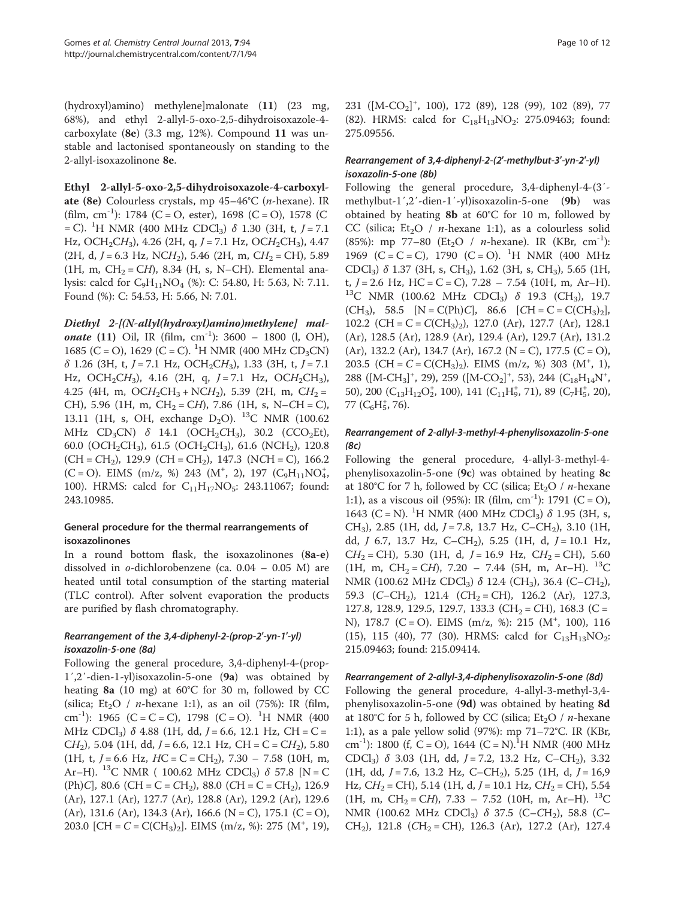(hydroxyl)amino) methylene]malonate (11) (23 mg, 68%), and ethyl 2-allyl-5-oxo-2,5-dihydroisoxazole-4 carboxylate (8e) (3.3 mg, 12%). Compound 11 was unstable and lactonised spontaneously on standing to the 2-allyl-isoxazolinone 8e.

Ethyl 2-allyl-5-oxo-2,5-dihydroisoxazole-4-carboxylate (8e) Colourless crystals, mp 45–46°C (n-hexane). IR (film, cm<sup>-1</sup>): 1784 (C = O, ester), 1698 (C = O), 1578 (C  $=$  C). <sup>1</sup>H NMR (400 MHz CDCl<sub>3</sub>)  $\delta$  1.30 (3H, t, *J* = 7.1 Hz, OCH<sub>2</sub>CH<sub>3</sub>), 4.26 (2H, q, J = 7.1 Hz, OCH<sub>2</sub>CH<sub>3</sub>), 4.47 (2H, d,  $J = 6.3$  Hz, NCH<sub>2</sub>), 5.46 (2H, m, CH<sub>2</sub> = CH), 5.89 (1H, m,  $CH<sub>2</sub> = CH$ ), 8.34 (H, s, N–CH). Elemental analysis: calcd for  $C_9H_{11}NO_4$  (%): C: 54.80, H: 5.63, N: 7.11. Found (%): C: 54.53, H: 5.66, N: 7.01.

Diethyl 2-[(N-allyl(hydroxyl)amino)methylene] mal**onate** (11) Oil, IR (film,  $cm^{-1}$ ): 3600 – 1800 (l, OH), 1685 (C = O), 1629 (C = C). <sup>1</sup>H NMR (400 MHz CD<sub>3</sub>CN)  $\delta$  1.26 (3H, t, J = 7.1 Hz, OCH<sub>2</sub>CH<sub>3</sub>), 1.33 (3H, t, J = 7.1 Hz, OCH<sub>2</sub>CH<sub>3</sub>), 4.16 (2H, q,  $J = 7.1$  Hz, OCH<sub>2</sub>CH<sub>3</sub>), 4.25 (4H, m,  $OCH_2CH_3 + NCH_2$ ), 5.39 (2H, m,  $CH_2 =$ CH), 5.96 (1H, m, CH<sub>2</sub> = CH), 7.86 (1H, s, N–CH = C), 13.11 (1H, s, OH, exchange  $D_2O$ ). <sup>13</sup>C NMR (100.62 MHz CD<sub>3</sub>CN) δ 14.1 (OCH<sub>2</sub>CH<sub>3</sub>), 30.2 (CCO<sub>2</sub>Et), 60.0 (OCH<sub>2</sub>CH<sub>3</sub>), 61.5 (OCH<sub>2</sub>CH<sub>3</sub>), 61.6 (NCH<sub>2</sub>), 120.8  $(CH = CH<sub>2</sub>)$ , 129.9  $(CH = CH<sub>2</sub>)$ , 147.3  $(NCH = C)$ , 166.2  $(C = O)$ . EIMS  $(m/z, %)$  243  $(M<sup>+</sup>, 2)$ , 197  $(C<sub>9</sub>H<sub>11</sub>NO<sub>4</sub><sup>+</sup>)$ 100). HRMS: calcd for  $C_{11}H_{17}NO_5$ : 243.11067; found: 243.10985.

# General procedure for the thermal rearrangements of isoxazolinones

In a round bottom flask, the isoxazolinones (8a-e) dissolved in o-dichlorobenzene (ca. 0.04 – 0.05 M) are heated until total consumption of the starting material (TLC control). After solvent evaporation the products are purified by flash chromatography.

# Rearrangement of the 3,4-diphenyl-2-(prop-2′-yn-1′-yl) isoxazolin-5-one (8a)

Following the general procedure, 3,4-diphenyl-4-(prop-1′,2′-dien-1-yl)isoxazolin-5-one (9a) was obtained by heating 8a (10 mg) at 60°C for 30 m, followed by CC (silica; Et<sub>2</sub>O / *n*-hexane 1:1), as an oil (75%): IR (film, cm<sup>-1</sup>): 1965 (C = C = C), 1798 (C = O). <sup>1</sup>H NMR (400 MHz CDCl<sub>3</sub>) δ 4.88 (1H, dd,  $J = 6.6$ , 12.1 Hz, CH = C =  $CH<sub>2</sub>$ ), 5.04 (1H, dd, J = 6.6, 12.1 Hz, CH = C = CH<sub>2</sub>), 5.80 (1H, t,  $J = 6.6$  Hz,  $HC = C = CH_2$ ), 7.30 – 7.58 (10H, m, Ar–H). <sup>13</sup>C NMR ( 100.62 MHz CDCl<sub>3</sub>)  $\delta$  57.8 [N = C (Ph)C], 80.6 (CH = C = CH<sub>2</sub>), 88.0 (CH = C = CH<sub>2</sub>), 126.9 (Ar), 127.1 (Ar), 127.7 (Ar), 128.8 (Ar), 129.2 (Ar), 129.6  $(Ar)$ , 131.6  $(Ar)$ , 134.3  $(Ar)$ , 166.6  $(N = C)$ , 175.1  $(C = O)$ , 203.0 [CH =  $C = C(CH_3)_2$ ]. EIMS (m/z, %): 275 (M<sup>+</sup>, 19),

231 ( $[M-CO<sub>2</sub>]<sup>+</sup>$ , 100), 172 (89), 128 (99), 102 (89), 77

# Rearrangement of 3,4-diphenyl-2-(2′-methylbut-3′-yn-2′-yl) isoxazolin-5-one (8b)

275.09556.

(82). HRMS: calcd for  $C_{18}H_{13}NO_2$ : 275.09463; found:

Following the general procedure, 3,4-diphenyl-4-(3′ methylbut-1′,2′-dien-1′-yl)isoxazolin-5-one (9b) was obtained by heating 8b at 60°C for 10 m, followed by CC (silica; Et<sub>2</sub>O / *n*-hexane 1:1), as a colourless solid (85%): mp 77–80 (Et<sub>2</sub>O / *n*-hexane). IR (KBr, cm<sup>-1</sup>): 1969 (C = C = C), 1790 (C = O). <sup>1</sup>H NMR (400 MHz CDCl<sub>3</sub>)  $\delta$  1.37 (3H, s, CH<sub>3</sub>), 1.62 (3H, s, CH<sub>3</sub>), 5.65 (1H, t,  $J = 2.6$  Hz, HC = C = C), 7.28 - 7.54 (10H, m, Ar-H).  $13C$  NMR (100.62 MHz CDCl<sub>3</sub>)  $\delta$  19.3 (CH<sub>3</sub>), 19.7  $(CH_3)$ , 58.5  $[N = C(Ph)C]$ , 86.6  $[CH = C = C(CH_3)_2]$ , 102.2 (CH = C =  $C(CH_3)_{2}$ ), 127.0 (Ar), 127.7 (Ar), 128.1 (Ar), 128.5 (Ar), 128.9 (Ar), 129.4 (Ar), 129.7 (Ar), 131.2  $(Ar)$ , 132.2  $(Ar)$ , 134.7  $(Ar)$ , 167.2  $(N = C)$ , 177.5  $(C = O)$ , 203.5 (CH =  $C = C(CH_3)_2$ ). EIMS (m/z, %) 303 (M<sup>+</sup>, 1), 288 ([M-CH<sub>3</sub>]<sup>+</sup>, 29), 259 ([M-CO<sub>2</sub>]<sup>+</sup>, 53), 244 (C<sub>18</sub>H<sub>14</sub>N<sup>+</sup>, 50), 200  $(C_{13}H_{12}O_2^*$ , 100), 141  $(C_{11}H_9^*$ , 71), 89  $(C_7H_5^*$ , 20),  $77~(\text{C}_6\text{H}_5^+, 76).$ 

# Rearrangement of 2-allyl-3-methyl-4-phenylisoxazolin-5-one (8c)

Following the general procedure, 4-allyl-3-methyl-4 phenylisoxazolin-5-one (9c) was obtained by heating 8c at 180°C for 7 h, followed by CC (silica; Et<sub>2</sub>O / *n*-hexane 1:1), as a viscous oil (95%): IR (film,  $cm^{-1}$ ): 1791 (C = O), 1643 (C = N). <sup>1</sup>H NMR (400 MHz CDCl<sub>3</sub>)  $\delta$  1.95 (3H, s, CH<sub>3</sub>), 2.85 (1H, dd,  $J = 7.8$ , 13.7 Hz, C–CH<sub>2</sub>), 3.10 (1H, dd,  $J$  6.7, 13.7 Hz, C–CH<sub>2</sub>), 5.25 (1H, d,  $J = 10.1$  Hz,  $CH<sub>2</sub> = CH$ ), 5.30 (1H, d, J = 16.9 Hz,  $CH<sub>2</sub> = CH$ ), 5.60 (1H, m, CH<sub>2</sub> = CH), 7.20 – 7.44 (5H, m, Ar–H). <sup>13</sup>C NMR (100.62 MHz CDCl<sub>3</sub>)  $\delta$  12.4 (CH<sub>3</sub>), 36.4 (C–CH<sub>2</sub>), 59.3 (C–CH<sub>2</sub>), 121.4 (CH<sub>2</sub> = CH), 126.2 (Ar), 127.3, 127.8, 128.9, 129.5, 129.7, 133.3 (CH<sub>2</sub> = CH), 168.3 (C = N), 178.7 (C = O). EIMS (m/z, %): 215 (M<sup>+</sup>, 100), 116 (15), 115 (40), 77 (30). HRMS: calcd for  $C_{13}H_{13}NO_2$ : 215.09463; found: 215.09414.

## Rearrangement of 2-allyl-3,4-diphenylisoxazolin-5-one (8d)

Following the general procedure, 4-allyl-3-methyl-3,4 phenylisoxazolin-5-one (9d) was obtained by heating 8d at 180°C for 5 h, followed by CC (silica;  $Et<sub>2</sub>O / n$ -hexane 1:1), as a pale yellow solid (97%): mp 71–72°C. IR (KBr, cm<sup>-1</sup>): 1800 (f, C = O), 1644 (C = N).<sup>1</sup>H NMR (400 MHz CDCl<sub>3</sub>)  $\delta$  3.03 (1H, dd, J = 7.2, 13.2 Hz, C–CH<sub>2</sub>), 3.32 (1H, dd,  $J = 7.6$ , 13.2 Hz, C–CH<sub>2</sub>), 5.25 (1H, d,  $J = 16.9$ Hz,  $CH_2 = CH$ ), 5.14 (1H, d,  $J = 10.1$  Hz,  $CH_2 = CH$ ), 5.54  $(1H, m, CH<sub>2</sub> = CH), 7.33 - 7.52$  (10H, m, Ar–H). <sup>13</sup>C NMR (100.62 MHz CDCl<sub>3</sub>)  $\delta$  37.5 (C–CH<sub>2</sub>), 58.8 (C– CH<sub>2</sub>), 121.8 (CH<sub>2</sub> = CH), 126.3 (Ar), 127.2 (Ar), 127.4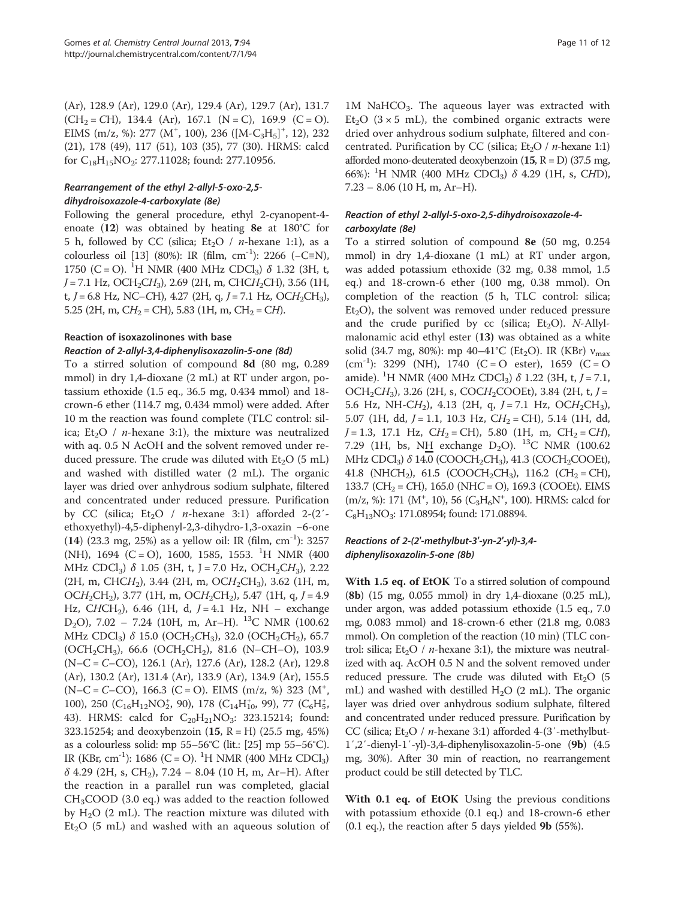(Ar), 128.9 (Ar), 129.0 (Ar), 129.4 (Ar), 129.7 (Ar), 131.7  $(CH<sub>2</sub> = CH)$ , 134.4 (Ar), 167.1 (N = C), 169.9 (C = O). EIMS (m/z, %): 277 (M<sup>+</sup>, 100), 236 ([M-C<sub>3</sub>H<sub>5</sub>]<sup>+</sup>, 12), 232 (21), 178 (49), 117 (51), 103 (35), 77 (30). HRMS: calcd for  $C_{18}H_{15}NO_2$ : 277.11028; found: 277.10956.

# Rearrangement of the ethyl 2-allyl-5-oxo-2,5 dihydroisoxazole-4-carboxylate (8e)

Following the general procedure, ethyl 2-cyanopent-4 enoate (12) was obtained by heating 8e at 180°C for 5 h, followed by CC (silica; Et<sub>2</sub>O / *n*-hexane 1:1), as a colourless oil [[13](#page-11-0)] (80%): IR (film, cm<sup>-1</sup>): 2266 (-C≡N), 1750 (C = O). <sup>1</sup>H NMR (400 MHz CDCl<sub>3</sub>)  $\delta$  1.32 (3H, t,  $J = 7.1$  Hz, OCH<sub>2</sub>CH<sub>3</sub>), 2.69 (2H, m, CHCH<sub>2</sub>CH), 3.56 (1H, t, J = 6.8 Hz, NC–CH), 4.27 (2H, q, J = 7.1 Hz, OCH<sub>2</sub>CH<sub>3</sub>), 5.25 (2H, m,  $CH_2 = CH$ ), 5.83 (1H, m,  $CH_2 = CH$ ).

# Reaction of isoxazolinones with base

# Reaction of 2-allyl-3,4-diphenylisoxazolin-5-one (8d) To a stirred solution of compound 8d (80 mg, 0.289

mmol) in dry 1,4-dioxane (2 mL) at RT under argon, potassium ethoxide (1.5 eq., 36.5 mg, 0.434 mmol) and 18 crown-6 ether (114.7 mg, 0.434 mmol) were added. After 10 m the reaction was found complete (TLC control: silica; Et<sub>2</sub>O / *n*-hexane 3:1), the mixture was neutralized with aq. 0.5 N AcOH and the solvent removed under reduced pressure. The crude was diluted with  $Et<sub>2</sub>O$  (5 mL) and washed with distilled water (2 mL). The organic layer was dried over anhydrous sodium sulphate, filtered and concentrated under reduced pressure. Purification by CC (silica;  $Et<sub>2</sub>O / n$ -hexane 3:1) afforded 2-(2'ethoxyethyl)-4,5-diphenyl-2,3-dihydro-1,3-oxazin −6-one (14) (23.3 mg, 25%) as a yellow oil: IR (film,  $cm^{-1}$ ): 3257 (NH), 1694 (C = O), 1600, 1585, 1553. <sup>1</sup>H NMR (400 MHz CDCl<sub>3</sub>)  $\delta$  1.05 (3H, t, J = 7.0 Hz, OCH<sub>2</sub>CH<sub>3</sub>), 2.22  $(2H, m, CHCH<sub>2</sub>), 3.44 (2H, m, OCH<sub>2</sub>CH<sub>3</sub>), 3.62 (1H, m,$  $OCH_2CH_2$ ), 3.77 (1H, m,  $OCH_2CH_2$ ), 5.47 (1H, q, J = 4.9 Hz, CHCH<sub>2</sub>), 6.46 (1H, d,  $J = 4.1$  Hz, NH – exchange D<sub>2</sub>O), 7.02 - 7.24 (10H, m, Ar-H). <sup>13</sup>C NMR (100.62 MHz CDCl<sub>3</sub>) δ 15.0 (OCH<sub>2</sub>CH<sub>3</sub>), 32.0 (OCH<sub>2</sub>CH<sub>2</sub>), 65.7  $(OCH<sub>2</sub>CH<sub>3</sub>)$ , 66.6  $(OCH<sub>2</sub>CH<sub>2</sub>)$ , 81.6 (N–CH–O), 103.9 (N–C = C–CO), 126.1 (Ar), 127.6 (Ar), 128.2 (Ar), 129.8 (Ar), 130.2 (Ar), 131.4 (Ar), 133.9 (Ar), 134.9 (Ar), 155.5  $(N-C = C-CO)$ , 166.3 (C = O). EIMS (m/z, %) 323 (M<sup>+</sup>, 100), 250  $(C_{16}H_{12}NO_2^*$ , 90), 178  $(C_{14}H_{10}^*$ , 99), 77  $(C_6H_5^*)$ 43). HRMS: calcd for  $C_{20}H_{21}NO_3$ : 323.15214; found: 323.15254; and deoxybenzoin (15, R = H) (25.5 mg, 45%) as a colourless solid: mp  $55-56^{\circ}C$  (lit.: [\[25](#page-11-0)] mp  $55-56^{\circ}C$ ). IR (KBr, cm<sup>-1</sup>): 1686 (C = O). <sup>1</sup>H NMR (400 MHz CDCl<sub>3</sub>)  $\delta$  4.29 (2H, s, CH<sub>2</sub>), 7.24 – 8.04 (10 H, m, Ar–H). After the reaction in a parallel run was completed, glacial  $CH<sub>3</sub>COOD$  (3.0 eq.) was added to the reaction followed by  $H_2O$  (2 mL). The reaction mixture was diluted with  $Et<sub>2</sub>O$  (5 mL) and washed with an aqueous solution of

 $1M$  NaHCO<sub>3</sub>. The aqueous layer was extracted with Et<sub>2</sub>O ( $3 \times 5$  mL), the combined organic extracts were dried over anhydrous sodium sulphate, filtered and concentrated. Purification by CC (silica;  $Et<sub>2</sub>O / n$ -hexane 1:1) afforded mono-deuterated deoxybenzoin  $(15, R = D)$  (37.5 mg, 66%): <sup>1</sup>H NMR (400 MHz CDCl<sub>3</sub>) δ 4.29 (1H, s, CHD),  $7.23 - 8.06$  (10 H, m, Ar–H).

# Reaction of ethyl 2-allyl-5-oxo-2,5-dihydroisoxazole-4 carboxylate (8e)

To a stirred solution of compound 8e (50 mg, 0.254 mmol) in dry 1,4-dioxane (1 mL) at RT under argon, was added potassium ethoxide (32 mg, 0.38 mmol, 1.5 eq.) and 18-crown-6 ether (100 mg, 0.38 mmol). On completion of the reaction (5 h, TLC control: silica;  $Et<sub>2</sub>O$ , the solvent was removed under reduced pressure and the crude purified by  $cc$  (silica; Et<sub>2</sub>O). N-Allylmalonamic acid ethyl ester (13) was obtained as a white solid (34.7 mg, 80%): mp 40–41°C (Et<sub>2</sub>O). IR (KBr)  $v_{\text{max}}$  $(cm<sup>-1</sup>)$ : 3299 (NH), 1740 (C = O ester), 1659 (C = O amide). <sup>1</sup>H NMR (400 MHz CDCl<sub>3</sub>)  $\delta$  1.22 (3H, t, J = 7.1, OCH<sub>2</sub>CH<sub>3</sub>), 3.26 (2H, s, COCH<sub>2</sub>COOEt), 3.84 (2H, t, J = 5.6 Hz, NH-C $H_2$ ), 4.13 (2H, q, J = 7.1 Hz, OC $H_2$ CH<sub>3</sub>), 5.07 (1H, dd,  $J = 1.1$ , 10.3 Hz,  $CH<sub>2</sub> = CH$ ), 5.14 (1H, dd,  $J = 1.3$ , 17.1 Hz,  $CH_2 = CH$ ), 5.80 (1H, m,  $CH_2 = CH$ ), 7.29 (1H, bs, NH exchange  $D_2O$ ). <sup>13</sup>C NMR (100.62 MHz CDCl<sub>3</sub>)  $\delta$  14.0 (COOCH<sub>2</sub>CH<sub>3</sub>), 41.3 (COCH<sub>2</sub>COOEt), 41.8 (NHCH<sub>2</sub>), 61.5 (COOCH<sub>2</sub>CH<sub>3</sub>), 116.2 (CH<sub>2</sub> = CH), 133.7 (CH<sub>2</sub> = CH), 165.0 (NHC = O), 169.3 (COOEt). EIMS (m/z, %): 171 (M<sup>+</sup>, 10), 56 (C<sub>3</sub>H<sub>6</sub>N<sup>+</sup>, 100). HRMS: calcd for  $C_8H_{13}NO_3$ : 171.08954; found: 171.08894.

# Reactions of 2-(2′-methylbut-3′-yn-2′-yl)-3,4 diphenylisoxazolin-5-one (8b)

With 1.5 eq. of EtOK To a stirred solution of compound (8b) (15 mg, 0.055 mmol) in dry 1,4-dioxane (0.25 mL), under argon, was added potassium ethoxide (1.5 eq., 7.0 mg, 0.083 mmol) and 18-crown-6 ether (21.8 mg, 0.083 mmol). On completion of the reaction (10 min) (TLC control: silica;  $Et_2O / n$ -hexane 3:1), the mixture was neutralized with aq. AcOH 0.5 N and the solvent removed under reduced pressure. The crude was diluted with  $Et<sub>2</sub>O$  (5 mL) and washed with destilled  $H_2O$  (2 mL). The organic layer was dried over anhydrous sodium sulphate, filtered and concentrated under reduced pressure. Purification by CC (silica; Et<sub>2</sub>O / *n*-hexane 3:1) afforded 4-(3'-methylbut-1′,2′-dienyl-1′-yl)-3,4-diphenylisoxazolin-5-one (9b) (4.5 mg, 30%). After 30 min of reaction, no rearrangement product could be still detected by TLC.

With 0.1 eq. of EtOK Using the previous conditions with potassium ethoxide (0.1 eq.) and 18-crown-6 ether  $(0.1 \text{ eq.})$ , the reaction after 5 days yielded **9b**  $(55\%)$ .